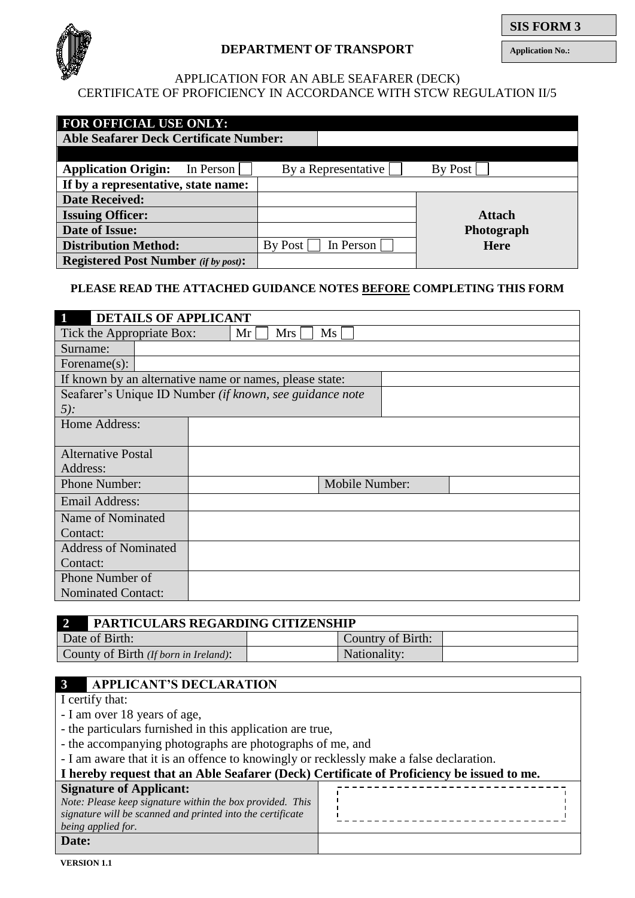

## **DEPARTMENT OF TRANSPORT**

**Application No.:**

## APPLICATION FOR AN ABLE SEAFARER (DECK) CERTIFICATE OF PROFICIENCY IN ACCORDANCE WITH STCW REGULATION II/5

| <b>FOR OFFICIAL USE ONLY:</b>                 |                      |                |  |  |  |  |  |
|-----------------------------------------------|----------------------|----------------|--|--|--|--|--|
| <b>Able Seafarer Deck Certificate Number:</b> |                      |                |  |  |  |  |  |
|                                               |                      |                |  |  |  |  |  |
| <b>Application Origin:</b><br>In Person       | By a Representative  | <b>By Post</b> |  |  |  |  |  |
| If by a representative, state name:           |                      |                |  |  |  |  |  |
| <b>Date Received:</b>                         |                      |                |  |  |  |  |  |
| <b>Issuing Officer:</b>                       |                      | <b>Attach</b>  |  |  |  |  |  |
| Date of Issue:                                |                      | Photograph     |  |  |  |  |  |
| <b>Distribution Method:</b>                   | In Person<br>By Post | <b>Here</b>    |  |  |  |  |  |
| <b>Registered Post Number</b> (if by post):   |                      |                |  |  |  |  |  |

### **PLEASE READ THE ATTACHED GUIDANCE NOTES BEFORE COMPLETING THIS FORM**

| $\blacksquare$<br><b>DETAILS OF APPLICANT</b>             |                |  |  |  |
|-----------------------------------------------------------|----------------|--|--|--|
| Ms<br>Tick the Appropriate Box:<br>Mr <sub>l</sub><br>Mrs |                |  |  |  |
| Surname:                                                  |                |  |  |  |
| Forename $(s)$ :                                          |                |  |  |  |
| If known by an alternative name or names, please state:   |                |  |  |  |
| Seafarer's Unique ID Number (if known, see guidance note  |                |  |  |  |
| $5$ :                                                     |                |  |  |  |
| Home Address:                                             |                |  |  |  |
|                                                           |                |  |  |  |
| <b>Alternative Postal</b>                                 |                |  |  |  |
| Address:                                                  |                |  |  |  |
| Phone Number:                                             | Mobile Number: |  |  |  |
| Email Address:                                            |                |  |  |  |
| Name of Nominated                                         |                |  |  |  |
| Contact:                                                  |                |  |  |  |
| <b>Address of Nominated</b>                               |                |  |  |  |
| Contact:                                                  |                |  |  |  |
| Phone Number of                                           |                |  |  |  |
| <b>Nominated Contact:</b>                                 |                |  |  |  |

|                                       | <b>PARTICULARS REGARDING CITIZENSHIP</b> |  |  |  |
|---------------------------------------|------------------------------------------|--|--|--|
| Date of Birth:                        | Country of Birth:                        |  |  |  |
| County of Birth (If born in Ireland): | Nationality:                             |  |  |  |

## **3 APPLICANT'S DECLARATION**

## I certify that:

- I am over 18 years of age,
- the particulars furnished in this application are true,
- the accompanying photographs are photographs of me, and
- I am aware that it is an offence to knowingly or recklessly make a false declaration.

| I hereby request that an Able Seafarer (Deck) Certificate of Proficiency be issued to me.                                                     |  |  |  |  |
|-----------------------------------------------------------------------------------------------------------------------------------------------|--|--|--|--|
| <b>Signature of Applicant:</b>                                                                                                                |  |  |  |  |
| Note: Please keep signature within the box provided. This<br>signature will be scanned and printed into the certificate<br>being applied for. |  |  |  |  |
| Date:                                                                                                                                         |  |  |  |  |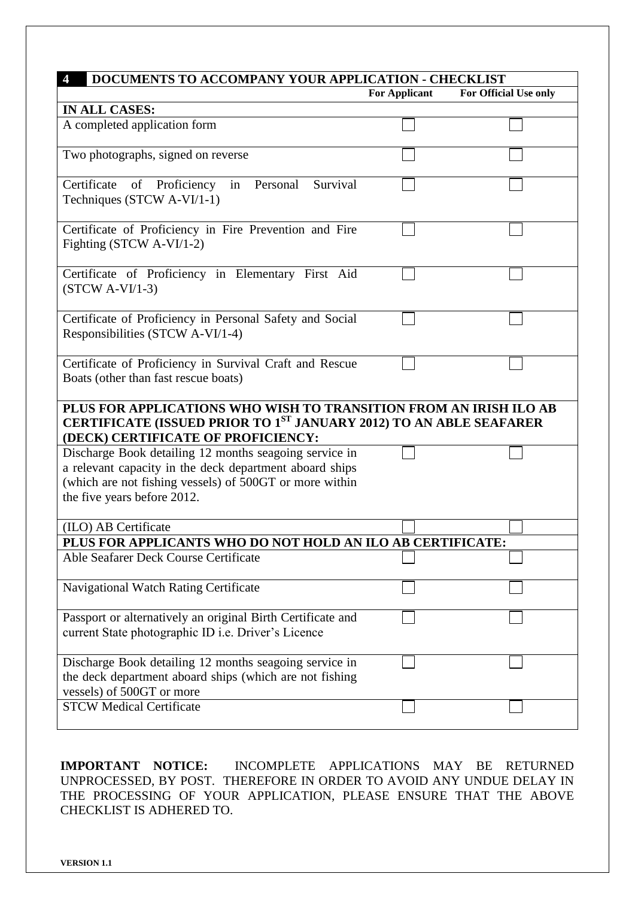| DOCUMENTS TO ACCOMPANY YOUR APPLICATION - CHECKLIST<br>$\overline{4}$                                                                                                                                       |                      |                       |  |  |
|-------------------------------------------------------------------------------------------------------------------------------------------------------------------------------------------------------------|----------------------|-----------------------|--|--|
|                                                                                                                                                                                                             | <b>For Applicant</b> | For Official Use only |  |  |
| <b>IN ALL CASES:</b>                                                                                                                                                                                        |                      |                       |  |  |
| A completed application form                                                                                                                                                                                |                      |                       |  |  |
| Two photographs, signed on reverse                                                                                                                                                                          |                      |                       |  |  |
| Certificate<br>Survival<br>of Proficiency<br>in Personal<br>Techniques (STCW A-VI/1-1)                                                                                                                      |                      |                       |  |  |
| Certificate of Proficiency in Fire Prevention and Fire<br>Fighting (STCW A-VI/1-2)                                                                                                                          |                      |                       |  |  |
| Certificate of Proficiency in Elementary First Aid<br>$(STCW A-VI/1-3)$                                                                                                                                     |                      |                       |  |  |
| Certificate of Proficiency in Personal Safety and Social<br>Responsibilities (STCW A-VI/1-4)                                                                                                                |                      |                       |  |  |
| Certificate of Proficiency in Survival Craft and Rescue<br>Boats (other than fast rescue boats)                                                                                                             |                      |                       |  |  |
| PLUS FOR APPLICATIONS WHO WISH TO TRANSITION FROM AN IRISH ILO AB<br><b>CERTIFICATE (ISSUED PRIOR TO 1ST JANUARY 2012) TO AN ABLE SEAFARER</b><br>(DECK) CERTIFICATE OF PROFICIENCY:                        |                      |                       |  |  |
| Discharge Book detailing 12 months seagoing service in<br>a relevant capacity in the deck department aboard ships<br>(which are not fishing vessels) of 500GT or more within<br>the five years before 2012. |                      |                       |  |  |
| (ILO) AB Certificate                                                                                                                                                                                        |                      |                       |  |  |
| PLUS FOR APPLICANTS WHO DO NOT HOLD AN ILO AB CERTIFICATE:                                                                                                                                                  |                      |                       |  |  |
| Able Seafarer Deck Course Certificate                                                                                                                                                                       |                      |                       |  |  |
| Navigational Watch Rating Certificate                                                                                                                                                                       |                      |                       |  |  |
| Passport or alternatively an original Birth Certificate and<br>current State photographic ID i.e. Driver's Licence                                                                                          |                      |                       |  |  |
| Discharge Book detailing 12 months seagoing service in<br>the deck department aboard ships (which are not fishing<br>vessels) of 500GT or more                                                              |                      |                       |  |  |
| <b>STCW Medical Certificate</b>                                                                                                                                                                             |                      |                       |  |  |

**IMPORTANT NOTICE:** INCOMPLETE APPLICATIONS MAY BE RETURNED UNPROCESSED, BY POST. THEREFORE IN ORDER TO AVOID ANY UNDUE DELAY IN THE PROCESSING OF YOUR APPLICATION, PLEASE ENSURE THAT THE ABOVE CHECKLIST IS ADHERED TO.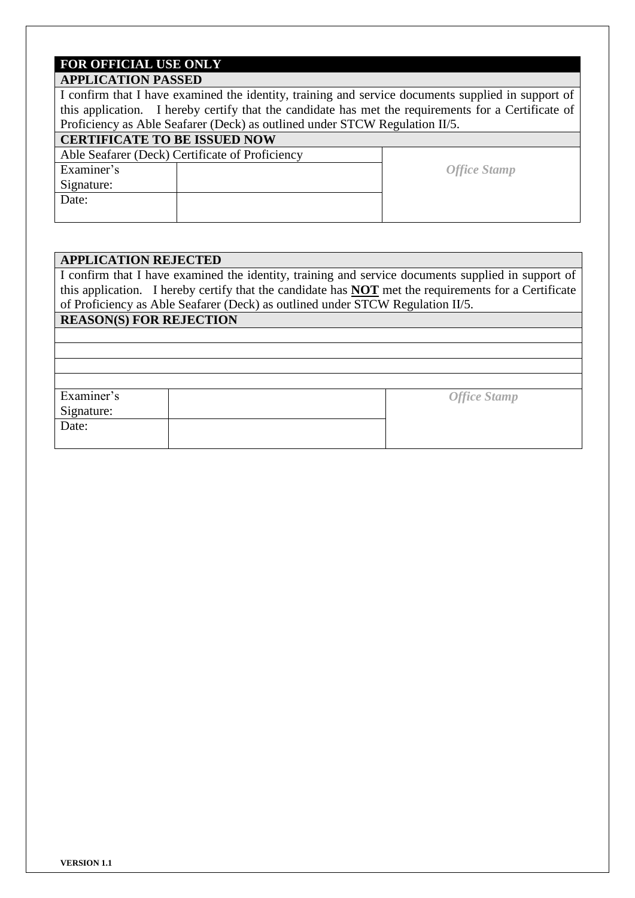## **FOR OFFICIAL USE ONLY**

## **APPLICATION PASSED**

I confirm that I have examined the identity, training and service documents supplied in support of this application. I hereby certify that the candidate has met the requirements for a Certificate of Proficiency as Able Seafarer (Deck) as outlined under STCW Regulation II/5.

#### **CERTIFICATE TO BE ISSUED NOW**

# Able Seafarer (Deck) Certificate of Proficiency

Examiner's **Contract Contract Contract Contract Contract Contract Contract Contract Contract Contract Contract Contract Contract Contract Contract Contract Contract Contract Contract Contract Contract Contract Contract Con** Signature: Date:

## **APPLICATION REJECTED**

I confirm that I have examined the identity, training and service documents supplied in support of this application. I hereby certify that the candidate has **NOT** met the requirements for a Certificate of Proficiency as Able Seafarer (Deck) as outlined under STCW Regulation II/5.

## **REASON(S) FOR REJECTION**

Examiner's Signature: *Office Stamp* Date: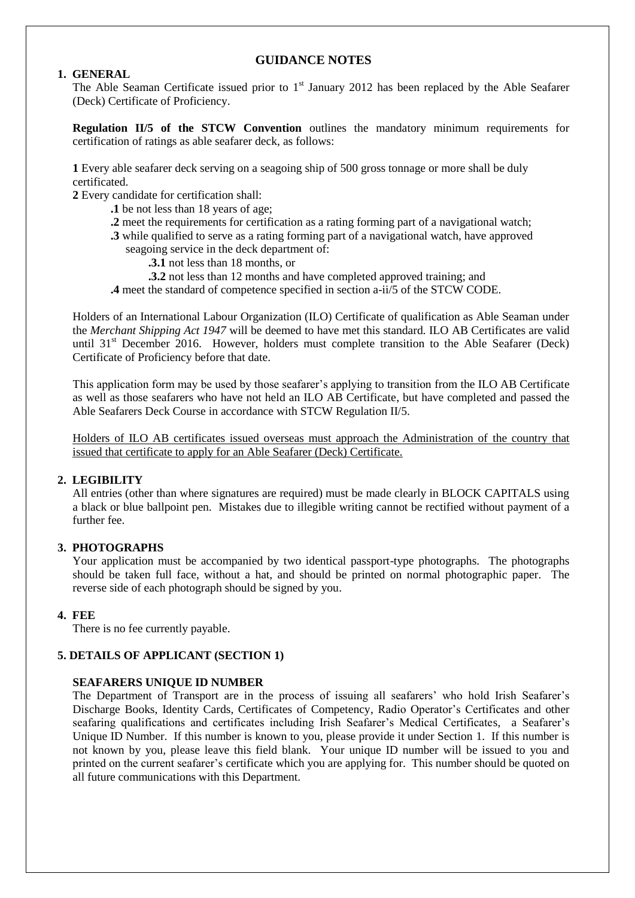#### **GUIDANCE NOTES**

#### **1. GENERAL**

The Able Seaman Certificate issued prior to  $1<sup>st</sup>$  January 2012 has been replaced by the Able Seafarer (Deck) Certificate of Proficiency.

**Regulation II/5 of the STCW Convention** outlines the mandatory minimum requirements for certification of ratings as able seafarer deck, as follows:

**1** Every able seafarer deck serving on a seagoing ship of 500 gross tonnage or more shall be duly certificated.

**2** Every candidate for certification shall:

- **.1** be not less than 18 years of age;
- **.2** meet the requirements for certification as a rating forming part of a navigational watch;
- **.3** while qualified to serve as a rating forming part of a navigational watch, have approved seagoing service in the deck department of:
	- **.3.1** not less than 18 months, or
	- **.3.2** not less than 12 months and have completed approved training; and
- **.4** meet the standard of competence specified in section a-ii/5 of the STCW CODE.

Holders of an International Labour Organization (ILO) Certificate of qualification as Able Seaman under the *Merchant Shipping Act 1947* will be deemed to have met this standard. ILO AB Certificates are valid until 31<sup>st</sup> December 2016. However, holders must complete transition to the Able Seafarer (Deck) Certificate of Proficiency before that date.

This application form may be used by those seafarer's applying to transition from the ILO AB Certificate as well as those seafarers who have not held an ILO AB Certificate, but have completed and passed the Able Seafarers Deck Course in accordance with STCW Regulation II/5.

Holders of ILO AB certificates issued overseas must approach the Administration of the country that issued that certificate to apply for an Able Seafarer (Deck) Certificate.

#### **2. LEGIBILITY**

All entries (other than where signatures are required) must be made clearly in BLOCK CAPITALS using a black or blue ballpoint pen. Mistakes due to illegible writing cannot be rectified without payment of a further fee.

#### **3. PHOTOGRAPHS**

Your application must be accompanied by two identical passport-type photographs. The photographs should be taken full face, without a hat, and should be printed on normal photographic paper. The reverse side of each photograph should be signed by you.

#### **4. FEE**

There is no fee currently payable.

#### **5. DETAILS OF APPLICANT (SECTION 1)**

#### **SEAFARERS UNIQUE ID NUMBER**

The Department of Transport are in the process of issuing all seafarers' who hold Irish Seafarer's Discharge Books, Identity Cards, Certificates of Competency, Radio Operator's Certificates and other seafaring qualifications and certificates including Irish Seafarer's Medical Certificates, a Seafarer's Unique ID Number. If this number is known to you, please provide it under Section 1. If this number is not known by you, please leave this field blank. Your unique ID number will be issued to you and printed on the current seafarer's certificate which you are applying for. This number should be quoted on all future communications with this Department.